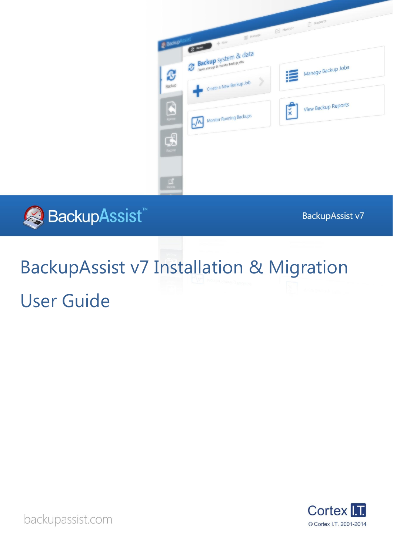



BackupAssist v7

# BackupAssist v7 Installation & Migration User Guide



backupassist.com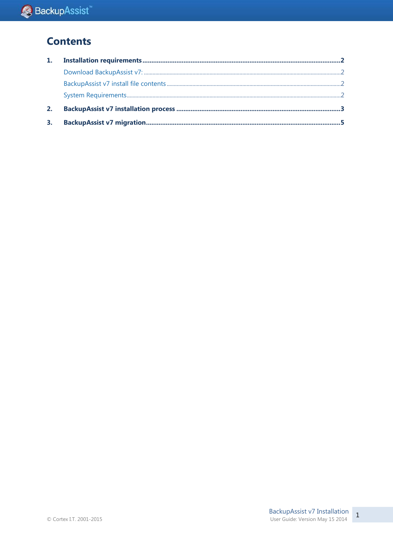## **Contents**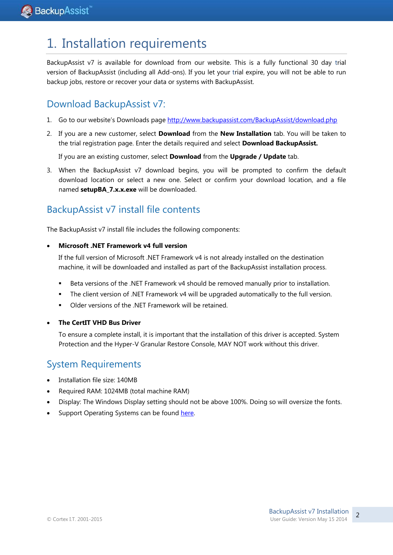# 1. Installation requirements

BackupAssist v7 is available for download from our website. This is a fully functional 30 day trial version of BackupAssist (including all Add-ons). If you let your trial expire, you will not be able to run backup jobs, restore or recover your data or systems with BackupAssist.

## Download BackupAssist v7:

- 1. Go to our website's Downloads page <http://www.backupassist.com/BackupAssist/download.php>
- 2. If you are a new customer, select **Download** from the **New Installation** tab. You will be taken to the trial registration page. Enter the details required and select **Download BackupAssist.**

If you are an existing customer, select **Download** from the **Upgrade / Update** tab.

3. When the BackupAssist v7 download begins, you will be prompted to confirm the default download location or select a new one. Select or confirm your download location, and a file named **setupBA\_7.x.x.exe** will be downloaded.

## BackupAssist v7 install file contents

The BackupAssist v7 install file includes the following components:

#### **Microsoft .NET Framework v4 full version**

If the full version of Microsoft .NET Framework v4 is not already installed on the destination machine, it will be downloaded and installed as part of the BackupAssist installation process.

- Beta versions of the .NET Framework v4 should be removed manually prior to installation.
- The client version of .NET Framework v4 will be upgraded automatically to the full version.
- Older versions of the .NET Framework will be retained.
- **The CertIT VHD Bus Driver**

To ensure a complete install, it is important that the installation of this driver is accepted. System Protection and the Hyper-V Granular Restore Console, MAY NOT work without this driver.

### System Requirements

- Installation file size: 140MB
- Required RAM: 1024MB (total machine RAM)
- Display: The Windows Display setting should not be above 100%. Doing so will oversize the fonts.
- Support Operating Systems can be found [here.](http://www.backupassist.com/BackupAssist/index.html)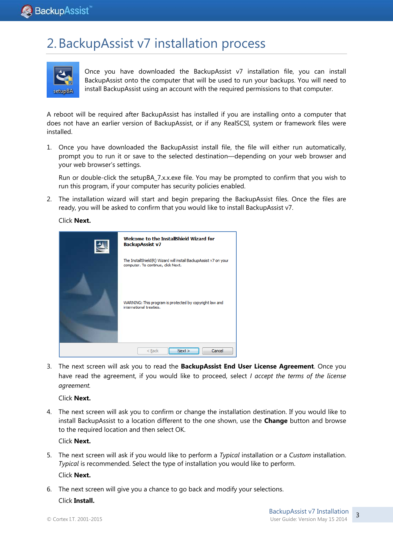# 2.BackupAssist v7 installation process



Once you have downloaded the BackupAssist v7 installation file, you can install BackupAssist onto the computer that will be used to run your backups. You will need to install BackupAssist using an account with the required permissions to that computer.

A reboot will be required after BackupAssist has installed if you are installing onto a computer that does not have an earlier version of BackupAssist, or if any RealSCSI, system or framework files were installed.

1. Once you have downloaded the BackupAssist install file, the file will either run automatically, prompt you to run it or save to the selected destination—depending on your web browser and your web browser's settings.

Run or double-click the setupBA\_7.x.x.exe file. You may be prompted to confirm that you wish to run this program, if your computer has security policies enabled.

2. The installation wizard will start and begin preparing the BackupAssist files. Once the files are ready, you will be asked to confirm that you would like to install BackupAssist v7.

Click **Next.**

|                            | Welcome to the InstallShield Wizard for<br><b>BackupAssist v7</b>                                      |  |
|----------------------------|--------------------------------------------------------------------------------------------------------|--|
|                            | The InstallShield(R) Wizard will install BackupAssist v7 on your<br>computer. To continue, click Next. |  |
|                            | WARNING: This program is protected by copyright law and<br>international treaties.                     |  |
| Cancel<br>$<$ Back<br>Next |                                                                                                        |  |

3. The next screen will ask you to read the **BackupAssist End User License Agreement**. Once you have read the agreement, if you would like to proceed, select *I accept the terms of the license agreement.* 

Click **Next.**

4. The next screen will ask you to confirm or change the installation destination. If you would like to install BackupAssist to a location different to the one shown, use the **Change** button and browse to the required location and then select OK.

Click **Next.**

- 5. The next screen will ask if you would like to perform a *Typical* installation or a *Custom* installation. *Typical* is recommended. Select the type of installation you would like to perform. Click **Next.**
- 6. The next screen will give you a chance to go back and modify your selections.

Click **Install.**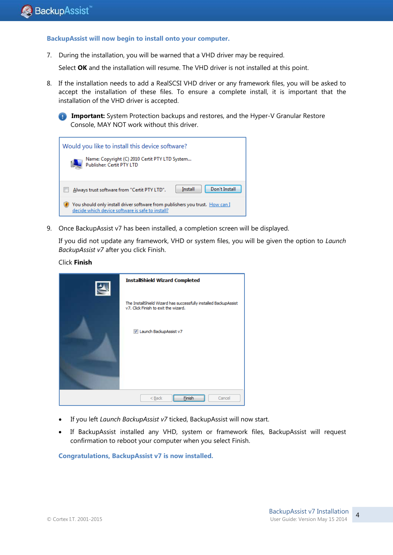**BackupAssist will now begin to install onto your computer.**

7. During the installation, you will be warned that a VHD driver may be required.

Select **OK** and the installation will resume. The VHD driver is not installed at this point.

8. If the installation needs to add a RealSCSI VHD driver or any framework files, you will be asked to accept the installation of these files. To ensure a complete install, it is important that the installation of the VHD driver is accepted.

| Would you like to install this device software?<br>Name: Copyright (C) 2010 Certit PTY LTD System<br>Publisher: Certit PTY LTD   |  |  |
|----------------------------------------------------------------------------------------------------------------------------------|--|--|
| Don't Install<br>Install<br>Always trust software from "Certit PTY LTD".                                                         |  |  |
| You should only install driver software from publishers you trust. How can I<br>decide which device software is safe to install? |  |  |

9. Once BackupAssist v7 has been installed, a completion screen will be displayed.

If you did not update any framework, VHD or system files, you will be given the option to *Launch BackupAssist v7* after you click Finish.

#### Click **Finish**

| <b>InstallShield Wizard Completed</b>                                                                    |
|----------------------------------------------------------------------------------------------------------|
| The InstallShield Wizard has successfully installed BackupAssist<br>v7. Click Finish to exit the wizard. |
| V Launch BackupAssist v7                                                                                 |
| $Back$<br>Cancel<br>Finish                                                                               |

- If you left *Launch BackupAssist v7* ticked, BackupAssist will now start.
- If BackupAssist installed any VHD, system or framework files, BackupAssist will request confirmation to reboot your computer when you select Finish.

**Congratulations, BackupAssist v7 is now installed.**

**Important:** System Protection backups and restores, and the Hyper-V Granular Restore Console, MAY NOT work without this driver.